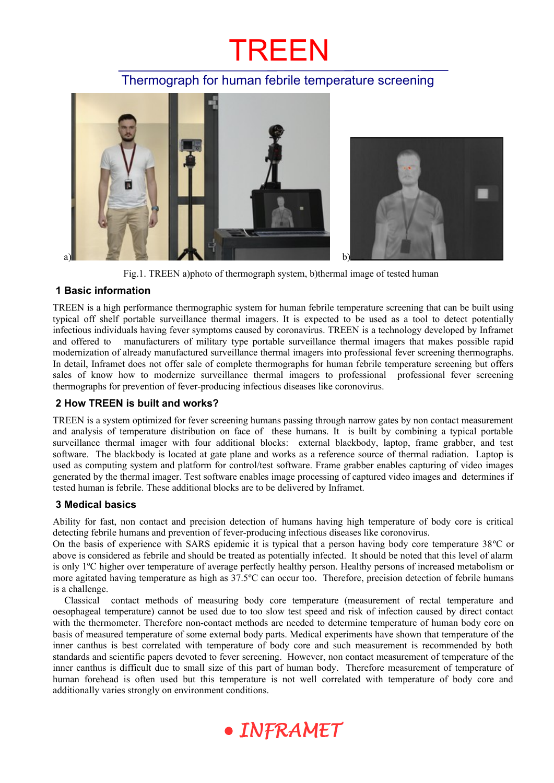## TREEN

## Thermograph for human febrile temperature screening



Fig.1. TREEN a)photo of thermograph system, b)thermal image of tested human

## **1 Basic information**

TREEN is a high performance thermographic system for human febrile temperature screening that can be built using typical off shelf portable surveillance thermal imagers. It is expected to be used as a tool to detect potentially infectious individuals having fever symptoms caused by coronavirus. TREEN is a technology developed by Inframet and offered to manufacturers of military type portable surveillance thermal imagers that makes possible rapid modernization of already manufactured surveillance thermal imagers into professional fever screening thermographs. In detail, Inframet does not offer sale of complete thermographs for human febrile temperature screening but offers sales of know how to modernize surveillance thermal imagers to professional professional fever screening thermographs for prevention of fever-producing infectious diseases like coronovirus.

## **2 How TREEN is built and works?**

TREEN is a system optimized for fever screening humans passing through narrow gates by non contact measurement and analysis of temperature distribution on face of these humans. It is built by combining a typical portable surveillance thermal imager with four additional blocks: external blackbody, laptop, frame grabber, and test software. The blackbody is located at gate plane and works as a reference source of thermal radiation. Laptop is used as computing system and platform for control/test software. Frame grabber enables capturing of video images generated by the thermal imager. Test software enables image processing of captured video images and determines if tested human is febrile. These additional blocks are to be delivered by Inframet.

### **3 Medical basics**

Ability for fast, non contact and precision detection of humans having high temperature of body core is critical detecting febrile humans and prevention of fever-producing infectious diseases like coronovirus.

On the basis of experience with SARS epidemic it is typical that a person having body core temperature 38ºC or above is considered as febrile and should be treated as potentially infected. It should be noted that this level of alarm is only 1ºC higher over temperature of average perfectly healthy person. Healthy persons of increased metabolism or more agitated having temperature as high as 37.5ºC can occur too. Therefore, precision detection of febrile humans is a challenge.

 Classical contact methods of measuring body core temperature (measurement of rectal temperature and oesophageal temperature) cannot be used due to too slow test speed and risk of infection caused by direct contact with the thermometer. Therefore non-contact methods are needed to determine temperature of human body core on basis of measured temperature of some external body parts. Medical experiments have shown that temperature of the inner canthus is best correlated with temperature of body core and such measurement is recommended by both standards and scientific papers devoted to fever screening. However, non contact measurement of temperature of the inner canthus is difficult due to small size of this part of human body. Therefore measurement of temperature of human forehead is often used but this temperature is not well correlated with temperature of body core and additionally varies strongly on environment conditions.

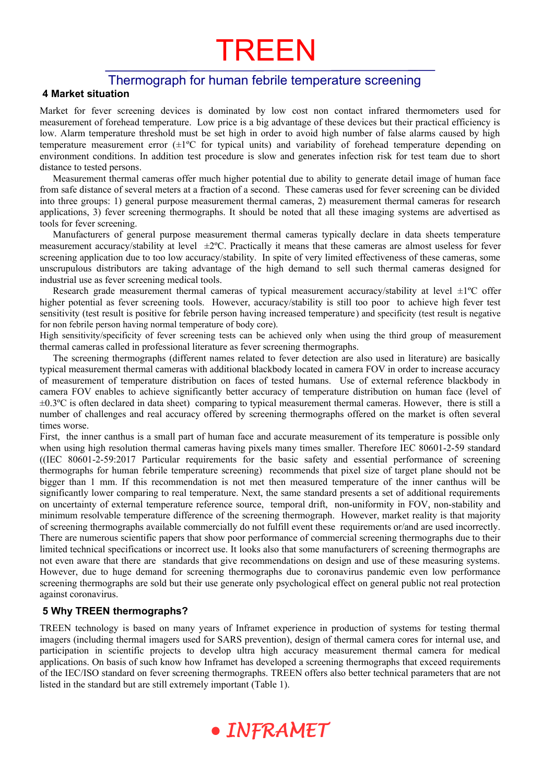# TREEN

## Thermograph for human febrile temperature screening

### **4 Market situation**

Market for fever screening devices is dominated by low cost non contact infrared thermometers used for measurement of forehead temperature. Low price is a big advantage of these devices but their practical efficiency is low. Alarm temperature threshold must be set high in order to avoid high number of false alarms caused by high temperature measurement error  $(\pm 1^{\circ}C)$  for typical units) and variability of forehead temperature depending on environment conditions. In addition test procedure is slow and generates infection risk for test team due to short distance to tested persons.

Measurement thermal cameras offer much higher potential due to ability to generate detail image of human face from safe distance of several meters at a fraction of a second. These cameras used for fever screening can be divided into three groups: 1) general purpose measurement thermal cameras, 2) measurement thermal cameras for research applications, 3) fever screening thermographs. It should be noted that all these imaging systems are advertised as tools for fever screening.

Manufacturers of general purpose measurement thermal cameras typically declare in data sheets temperature measurement accuracy/stability at level  $\pm 2^{\circ}$ C. Practically it means that these cameras are almost useless for fever screening application due to too low accuracy/stability. In spite of very limited effectiveness of these cameras, some unscrupulous distributors are taking advantage of the high demand to sell such thermal cameras designed for industrial use as fever screening medical tools.

Research grade measurement thermal cameras of typical measurement accuracy/stability at level  $\pm 1^{\circ}C$  offer higher potential as fever screening tools. However, accuracy/stability is still too poor to achieve high fever test sensitivity (test result is positive for febrile person having increased temperature) and specificity (test result is negative for non febrile person having normal temperature of body core).

High sensitivity/specificity of fever screening tests can be achieved only when using the third group of measurement thermal cameras called in professional literature as fever screening thermographs.

The screening thermographs (different names related to fever detection are also used in literature) are basically typical measurement thermal cameras with additional blackbody located in camera FOV in order to increase accuracy of measurement of temperature distribution on faces of tested humans. Use of external reference blackbody in camera FOV enables to achieve significantly better accuracy of temperature distribution on human face (level of ±0.3ºC is often declared in data sheet) comparing to typical measurement thermal cameras. However, there is still a number of challenges and real accuracy offered by screening thermographs offered on the market is often several times worse.

First, the inner canthus is a small part of human face and accurate measurement of its temperature is possible only when using high resolution thermal cameras having pixels many times smaller. Therefore IEC 80601-2-59 standard ((IEC 80601-2-59:2017 Particular requirements for the basic safety and essential performance of screening thermographs for human febrile temperature screening) recommends that pixel size of target plane should not be bigger than 1 mm. If this recommendation is not met then measured temperature of the inner canthus will be significantly lower comparing to real temperature. Next, the same standard presents a set of additional requirements on uncertainty of external temperature reference source, temporal drift, non-uniformity in FOV, non-stability and minimum resolvable temperature difference of the screening thermograph. However, market reality is that majority of screening thermographs available commercially do not fulfill event these requirements or/and are used incorrectly. There are numerous scientific papers that show poor performance of commercial screening thermographs due to their limited technical specifications or incorrect use. It looks also that some manufacturers of screening thermographs are not even aware that there are standards that give recommendations on design and use of these measuring systems. However, due to huge demand for screening thermographs due to coronavirus pandemic even low performance screening thermographs are sold but their use generate only psychological effect on general public not real protection against coronavirus.

### **5 Why TREEN thermographs?**

TREEN technology is based on many years of Inframet experience in production of systems for testing thermal imagers (including thermal imagers used for SARS prevention), design of thermal camera cores for internal use, and participation in scientific projects to develop ultra high accuracy measurement thermal camera for medical applications. On basis of such know how Inframet has developed a screening thermographs that exceed requirements of the IEC/ISO standard on fever screening thermographs. TREEN offers also better technical parameters that are not listed in the standard but are still extremely important (Table 1).